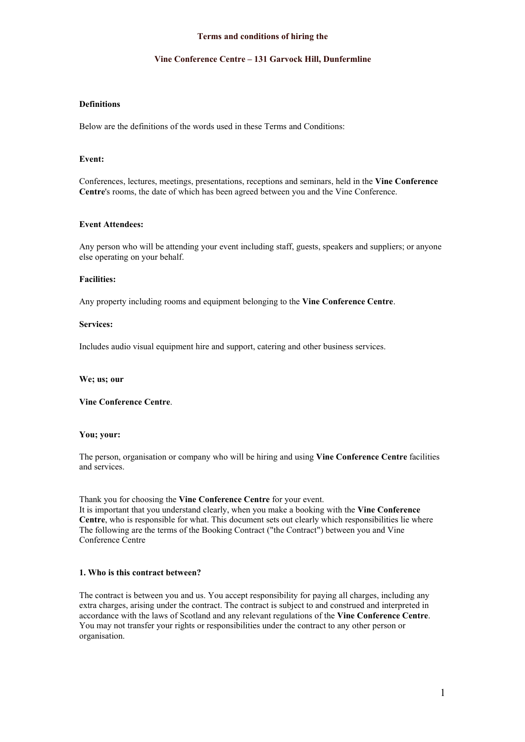#### **Vine Conference Centre – 131 Garvock Hill, Dunfermline**

# **Definitions**

Below are the definitions of the words used in these Terms and Conditions:

# **Event:**

Conferences, lectures, meetings, presentations, receptions and seminars, held in the **Vine Conference Centre**'s rooms, the date of which has been agreed between you and the Vine Conference.

#### **Event Attendees:**

Any person who will be attending your event including staff, guests, speakers and suppliers; or anyone else operating on your behalf.

#### **Facilities:**

Any property including rooms and equipment belonging to the **Vine Conference Centre**.

#### **Services:**

Includes audio visual equipment hire and support, catering and other business services.

**We; us; our**

**Vine Conference Centre**.

#### **You; your:**

The person, organisation or company who will be hiring and using **Vine Conference Centre** facilities and services.

Thank you for choosing the **Vine Conference Centre** for your event.

It is important that you understand clearly, when you make a booking with the **Vine Conference Centre**, who is responsible for what. This document sets out clearly which responsibilities lie where The following are the terms of the Booking Contract ("the Contract") between you and Vine Conference Centre

### **1. Who is this contract between?**

The contract is between you and us. You accept responsibility for paying all charges, including any extra charges, arising under the contract.The contract is subject to and construed and interpreted in accordance with the laws of Scotland and any relevant regulations of the **Vine Conference Centre**. You may not transfer your rights or responsibilities under the contract to any other person or organisation.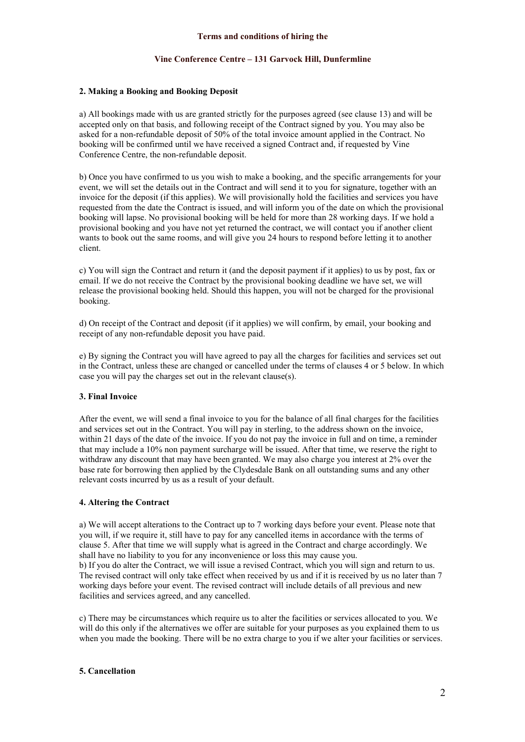# **Vine Conference Centre – 131 Garvock Hill, Dunfermline**

# **2. Making a Booking and Booking Deposit**

a) All bookings made with us are granted strictly for the purposes agreed (see clause 13) and will be accepted only on that basis, and following receipt of the Contract signed by you. You may also be asked for a non-refundable depositof 50% of the total invoice amount applied in the Contract. No booking will be confirmed until we have received a signed Contract and, if requested by Vine Conference Centre, the non-refundable deposit.

b) Once you have confirmed to usyou wish to make a booking, and the specific arrangements for your event, we will set the details out in the Contract and will send it to you for signature, together with an invoice for the deposit (if this applies). We will provisionally hold the facilities and services you have requested from the date the Contract is issued, and will inform you of the date on which the provisional booking will lapse. No provisional booking will be held for more than 28 working days. If we hold a provisional booking and you have not yet returned the contract, we will contact you if another client wants to book out the same rooms, and will give you 24 hours to respond before letting it to another client.

c) You will sign the Contract and return it (and the deposit payment if it applies) to us by post, fax or email. If we do not receive the Contract by the provisional booking deadline we have set, we will release the provisional booking held. Should this happen, you will not be charged for the provisional booking.

d) On receipt of the Contract and deposit (if it applies) we will confirm, by email, your booking and receipt of any non-refundable deposit you have paid.

e) By signing the Contract you will have agreed to pay all the charges for facilities and services set out in the Contract, unless these are changed or cancelled under the terms of clauses 4 or 5 below. In which case you will pay the charges set out in the relevant clause(s).

# **3. Final Invoice**

After the event, we will send a final invoice to you forthe balance of all final charges for the facilities and services set out in the Contract. You will pay in sterling, to the address shown on the invoice, within 21 days of the date of the invoice. If you do not pay the invoice in full and on time, a reminder that may include a 10% non payment surcharge will be issued. After that time, we reserve the right to withdraw any discount that may have been granted. We may also charge you interest at 2% over the base rate for borrowing then applied by the Clydesdale Bank on all outstanding sums and any other relevant costs incurred by us as a result of your default.

# **4. Altering the Contract**

a) We will accept alterations to the Contract up to 7 working days before yourevent. Please note that you will, if we require it, still have to pay forany cancelled items in accordance with the terms of clause 5. After that time we will supply what is agreed in the Contract and charge accordingly. We shall have no liability to you forany inconvenience or loss this may cause you. b) If you do alter the Contract, we will issue a revised Contract, which you will sign and return to us. The revised contract will only take effect when received by us and if it is received by us no later than 7 working days before your event. The revised contract will include details of all previous and new

facilities and services agreed, and any cancelled.

c) There may be circumstances which require us to alter the facilities orservices allocated to you. We will do this only if the alternatives we offer are suitable for your purposes as you explained them to us when you made the booking. There will be no extra charge to you if we alter your facilities or services.

# **5. Cancellation**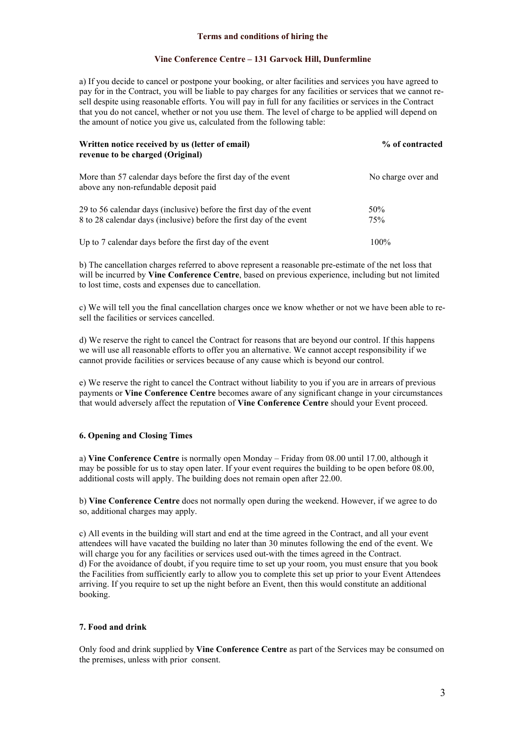### **Vine Conference Centre – 131 Garvock Hill, Dunfermline**

a) If you decide to cancel or postpone your booking, or alter facilities and services you have agreed to pay for in the Contract, you will be liable to pay charges for any facilities orservices that we cannot re sell despite using reasonable efforts. You will pay in full for any facilities orservices in the Contract that you do not cancel, whether or not you use them. The level of charge to be applied will depend on the amount of notice you give us, calculated from the following table:

| Written notice received by us (letter of email)<br>revenue to be charged (Original)                                                         | % of contracted    |
|---------------------------------------------------------------------------------------------------------------------------------------------|--------------------|
| More than 57 calendar days before the first day of the event<br>above any non-refundable deposit paid                                       | No charge over and |
| 29 to 56 calendar days (inclusive) before the first day of the event<br>8 to 28 calendar days (inclusive) before the first day of the event | 50%<br>75%         |
| Up to 7 calendar days before the first day of the event                                                                                     | $100\%$            |

b) The cancellation charges referred to above represent a reasonable pre-estimate of the net loss that will be incurred by **Vine Conference Centre**, based on previous experience, including but not limited to lost time, costs and expenses due to cancellation.

c) We will tell you the final cancellation charges once we know whether or not we have been able to re sell the facilities or services cancelled.

d) We reserve the right to cancel the Contract for reasons that are beyond our control. If this happens we will use all reasonable efforts to offer you an alternative.We cannot accept responsibility if we cannot provide facilities or services because of any cause which is beyond our control.

e) We reserve the right to cancel the Contract without liability to you if you are in arrears ofprevious payments or**Vine Conference Centre** becomes aware of any significant change in your circumstances that would adversely affect the reputation of **Vine Conference Centre** should your Event proceed.

### **6. Opening and Closing Times**

a) **Vine Conference Centre** is normally open Monday – Friday from 08.00 until 17.00, although it may be possible for us to stay open later. If your event requires the building to be open before  $\overline{08.00}$ , additional costs will apply. The building doesnot remain open after 22.00.

b) **Vine Conference Centre** does not normally open during the weekend. However, if we agree to do so, additional charges may apply.

c) All events in the building will start and end at the time agreed in the Contract, and all your event attendees will have vacated the building no later than 30 minutes following the end of the event. We will charge you for any facilities or services used out-with the times agreed in the Contract. d) For the avoidance of doubt, if you require time to set up your room,you must ensure that you book the Facilities from sufficiently early to allow you to complete this set up prior to your Event Attendees arriving. If you require to set up the night before an Event, then this would constitute an additional booking.

# **7. Food and drink**

Only food and drink supplied by **Vine Conference Centre** as part of the Services may be consumed on the premises, unless with prior consent.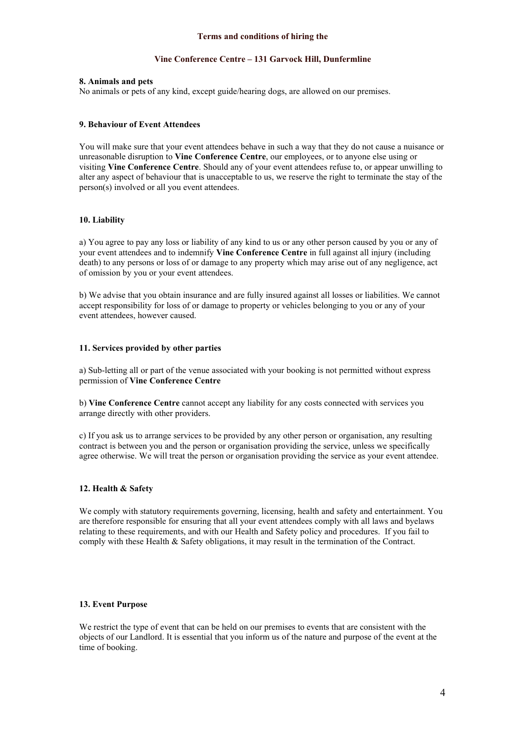### **Vine Conference Centre – 131 Garvock Hill, Dunfermline**

### **8. Animals and pets**

No animals or pets of any kind, except guide/hearing dogs, are allowed on our premises.

### **9. Behaviour of Event Attendees**

You will make sure that your event attendees behave in such a way that they do not cause a nuisance or unreasonable disruption to **Vine Conference Centre**, our employees, or to anyone else using or visiting Vine Conference Centre. Should any of your event attendees refuse to, or appear unwilling to alter any aspect of behaviour that is unacceptable to us, we reserve the right to terminate the stay of the person(s) involved or all you event attendees.

### **10. Liability**

a) You agree to pay any loss or liability of any kind to us or any other person caused by you or any of your event attendees and to indemnify **Vine Conference Centre** in full against all injury (including death) to any persons or loss of or damage to any property which may arise out of any negligence, act of omission by you or your event attendees.

b) We advise that you obtain insurance and are fully insured against all losses or liabilities. We cannot accept responsibility for loss of or damage to property or vehicles belonging to you or any of your event attendees, however caused.

### **11. Services provided by other parties**

a) Sub-letting all or part of the venue associated with your booking is not permitted without express permission of **Vine Conference Centre**

b) **Vine Conference Centre** cannot accept any liability for any costs connected with services you arrange directly with other providers.

c) If you ask us to arrange services to be provided by any other person or organisation, any resulting contract is between you and the person or organisation providing the service, unless we specifically agree otherwise. We will treat the person or organisation providing the service as your event attendee.

# **12. Health & Safety**

We comply with statutory requirements governing, licensing, health and safety and entertainment. You are therefore responsible for ensuring that all your event attendees comply with all laws and byelaws relating to these requirements, and with our Health and Safety policy and procedures. If you fail to comply with these Health & Safety obligations, it may result in the termination of the Contract.

# **13. Event Purpose**

We restrict the type of event that can be held on our premises to events that are consistent with the objects of our Landlord. It is essential that you inform us of the nature and purpose of the event at the time of booking.